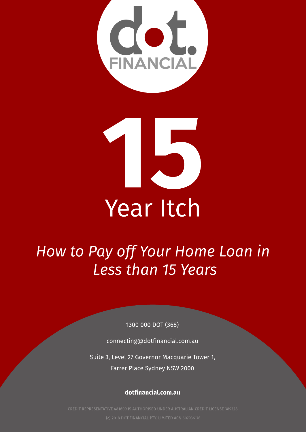



# Year Itch

# **How to Pay off Your Home Loan in Less than 15 Years**

1300 000 DOT (368)

connecting@dotfinancial.com.au

Suite 3, Level 27 Governor Macquarie Tower 1, Farrer Place Sydney NSW2000

[dotfinancial.com.au](http://www.dotfinancial.com.au)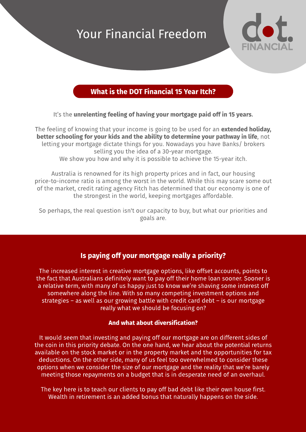## Your Financial Freedom



### What is the DOT Financial 15 Year Itch?

It's the unrelenting feeling of having your mortgage paid off in 15 years.

The feeling of knowing that your income is going to be used for an **extended holiday.** better schooling for your kids and the ability to determine your pathway in life, not letting your mortgage dictate things for you. Nowadays you have Banks/ brokers selling you the idea of a 30-year mortgage. We show you how and why it is possible to achieve the 15-year itch.

Australia is renowned for its high property prices and in fact, our housing price-to-income ratio is among the worst in the world. While this may scare some out of the market, credit rating agency Fitch has determined that our economy is one of the strongest in the world, keeping mortgages affordable.

So perhaps, the real question isn't our capacity to buy, but what our priorities and goals are.

### Is paying off your mortgage really a priority?

The increased interest in creative mortgage options, like offset accounts, points to the fact that Australians definitely want to pay off their home loan sooner. Sooner is a relative term, with many of us happy just to know we're shaving some interest off somewhere along the line. With so many competing investment options and strategies  $-$  as well as our growing battle with credit card debt  $-$  is our mortgage really what we should be focusing on?

#### And what about diversification?

It would seem that investing and paying off our mortgage are on different sides of the coin in this priority debate. On the one hand, we hear about the potential returns available on the stock market or in the property market and the opportunities for tax deductions. On the other side, many of us feel too overwhelmed to consider these options when we consider the size of our mortgage and the reality that we?re barely meeting those repayments on a budget that is in desperate need of an overhaul.

The key here is to teach our clients to pay off bad debt like their own house first. Wealth in retirement is an added bonus that naturally happens on the side.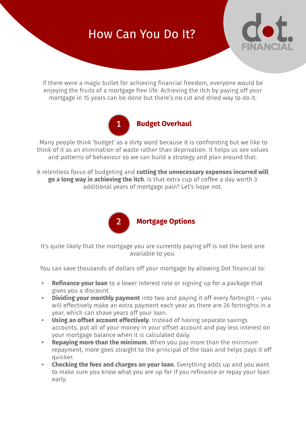### How Can You Do It?



If there were a magic bullet for achieving financial freedom, everyone would be enjoying the fruits of a mortgage free life. Achieving the itch by paying off your mortgage in 15 years can be done but there?s no cut and dried way to do it:



Many people think 'budget' as a dirty word because it is confronting but we like to think of it as an elimination of waste rather than deprivation. It helps us see values and patterns of behaviour so we can build a strategy and plan around that.

A relentless focus of budgeting and cutting the unnecessary expenses incurred will go a long way in achieving the itch. Is that extra cup of coffee a day worth 3 additional years of mortgage pain? Let's hope not.



It's quite likely that the mortgage you are currently paying off is not the best one available to you.

You can save thousands of dollars off your mortgage by allowing Dot financial to:

- Refinance your loan to a lower interest rate or signing up for a package that gives you a discount.
- $\cdot$  Dividing your monthly payment into two and paying it off every fortnight  $-$  you will effectively make an extra payment each year as there are 26 fortnights in a year, which can shave years off your loan.
- Using an offset account effectively. Instead of having separate savings accounts, put all of your money in your offset account and pay less interest on your mortgage balance when it is calculated daily.
- **Repaying more than the minimum.** When you pay more than the minimum repayment, more goes straight to the principal of the loan and helps pays it off quicker.
- **Checking the fees and charges on your loan.** Everything adds up and you want to make sure you know what you are up for if you refinance or repay your loan early.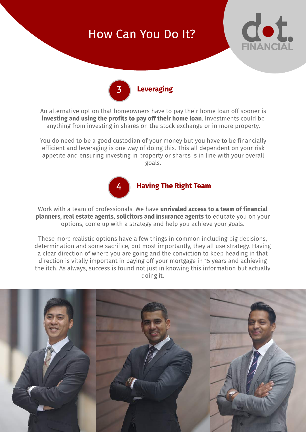### How Can You Do It?





An alternative option that homeowners have to pay their home loan off sooner is investing and using the profits to pay off their home loan. Investments could be anything from investing in shares on the stock exchange or in more property.

You do need to be a good custodian of your money but you have to be financially efficient and leveraging is one way of doing this. This all dependent on your risk appetite and ensuring investing in property or shares is in line with your overall goals.



Work with a team of professionals. We have unrivaled access to a team of financial planners, real estate agents, solicitors and insurance agents to educate you on your options, come up with a strategy and help you achieve your goals.

These more realistic options have a few things in common including big decisions, determination and some sacrifice, but most importantly, they all use strategy. Having a clear direction of where you are going and the conviction to keep heading in that direction is vitally important in paying off your mortgage in 15 years and achieving the itch. As always, success is found not just in knowing this information but actually doing it.

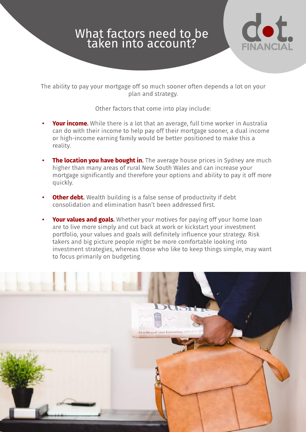### What factors need to be taken into account?



The ability to pay your mortgage off so much sooner often depends a lot on your plan and strategy.

Other factors that come into play include:

- Your income. While there is a lot that an average, full time worker in Australia can do with their income to help pay off their mortgage sooner, a dual income or high-income earning family would be better positioned to make this a reality.
- The location you have bought in. The average house prices in Sydney are much higher than many areas of rural New South Wales and can increase your mortgage significantly and therefore your options and ability to pay it off more quickly.
- **Other debt.** Wealth building is a false sense of productivity if debt consolidation and elimination hasn?t been addressed first.
- Your values and goals. Whether your motives for paying off your home loan are to live more simply and cut back at work or kickstart your investment portfolio, your values and goals will definitely influence your strategy. Risk takers and big picture people might be more comfortable looking into investment strategies, whereas those who like to keep things simple, may want to focus primarily on budgeting.

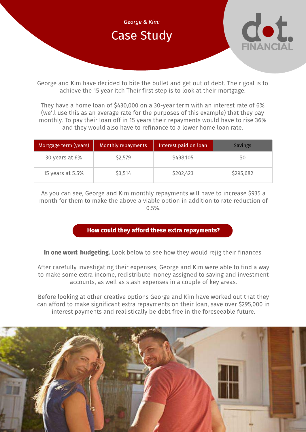

George and Kim have decided to bite the bullet and get out of debt. Their goal is to achieve the 15 year itch Their first step is to look at their mortgage:

They have a home loan of \$430,000 on a 30-year term with an interest rate of 6% (we'll use this as an average rate for the purposes of this example) that they pay monthly. To pay their loan off in 15 years their repayments would have to rise 36% and they would also have to refinance to a lower home loan rate.

| Mortgage term (years) | Monthly repayments | Interest paid on loan | Savings   |
|-----------------------|--------------------|-----------------------|-----------|
| 30 years at 6%        | \$2,579            | \$498,105             |           |
| 15 years at 5.5%      | \$3,514            | \$202,423             | \$295,682 |

As you can see, George and Kim monthly repayments will have to increase \$935 a month for them to make the above a viable option in addition to rate reduction of 0.5%.

#### How could they afford these extra repayments?

In one word: budgeting. Look below to see how they would rejig their finances.

After carefully investigating their expenses, George and Kim were able to find a way to make some extra income, redistribute money assigned to saving and investment accounts, as well as slash expenses in a couple of key areas.

Before looking at other creative options George and Kim have worked out that they can afford to make significant extra repayments on their loan, save over \$295,000 in interest payments and realistically be debt free in the foreseeable future.

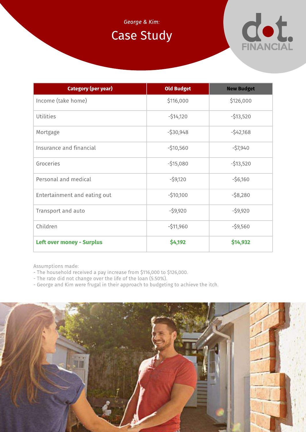### **George & Kim:**

### Case Study



| <b>Category (per year)</b>       | <b>Old Budget</b> | <b>New Budget</b> |
|----------------------------------|-------------------|-------------------|
| Income (take home)               | \$116,000         | \$126,000         |
| <b>Utilities</b>                 | $-514,120$        | $-513,520$        |
| Mortgage                         | $-530,948$        | $-542,168$        |
| Insurance and financial          | $-510,560$        | $-57,940$         |
| Groceries                        | $-515,080$        | $-513,520$        |
| Personal and medical             | $-59,120$         | $-56,160$         |
| Entertainment and eating out     | $-510,100$        | $-58,280$         |
| Transport and auto               | $-59,920$         | $-59,920$         |
| Children                         | $-511,960$        | $-59,560$         |
| <b>Left over money - Surplus</b> | \$4,192           | \$14,932          |

Assumptions made:

- The household received a pay increase from \$116,000 to \$126,000.
- The rate did not change over the life of the loan (5.50%).
- George and Kim were frugal in their approach to budgeting to achieve the itch.

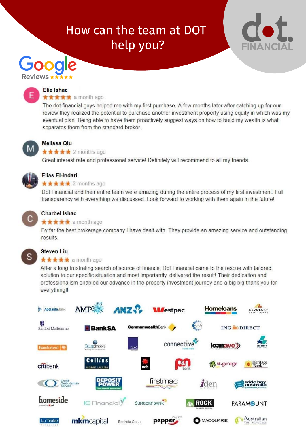# How can the team at DOT help you?





#### Elie Ishac ★★★★★ a month ago

The dot financial guys helped me with my first purchase. A few months later after catching up for our review they realized the potential to purchase another investment property using equity in which was my eventual plan. Being able to have them proactively suggest ways on how to build my wealth is what separates them from the standard broker.



#### Melissa Qiu

**★★★★★** 2 months ago

Great interest rate and professional servicel Definitely will recommend to all my friends.



### Elias El-indari

**★★★★★** 2 months ago

Dot Financial and their entire team were amazing during the entire process of my first investment. Full transparency with everything we discussed. Look forward to working with them again in the future!



### **Charbel Ishac**

#### $\star \star \star \star$  a month ago

By far the best brokerage company I have dealt with. They provide an amazing service and outstanding results.



### **Steven Liu**

#### **★★★★★** a month ago

After a long frustrating search of source of finance, Dot Financial came to the rescue with tailored solution to our specific situation and most importantly, delivered the result! Their dedication and professionalism enabled our advance in the property investment journey and a big big thank you for everything!!